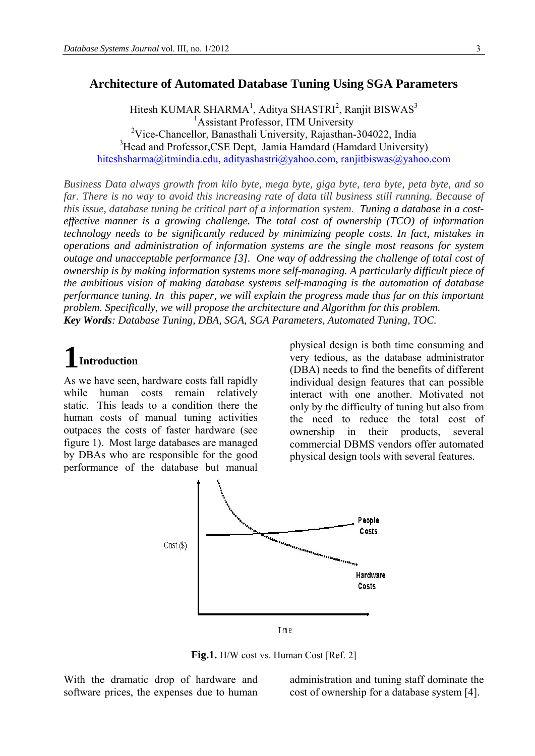## **Architecture of Automated Database Tuning Using SGA Parameters**

Hitesh KUMAR SHARMA<sup>1</sup>, Aditya SHASTRI<sup>2</sup>, Ranjit BISWAS<sup>3</sup> <sup>1</sup> Assistant Professor, ITM University <sup>2</sup>Vice-Chancellor, Banasthali University, Rajasthan-304022, India <sup>3</sup>Head and Professor, CSE Dept, Jamia Hamdard (Hamdard University) [hiteshsharma@itmindia.edu,](mailto:hiteshsharma@itmindia.edu) [adityashastri@yahoo.com,](mailto:adityashastri@yahoo.com) ranjitbiswas@yahoo.com

*Business Data always growth from kilo byte, mega byte, giga byte, tera byte, peta byte, and so far. There is no way to avoid this increasing rate of data till business still running. Because of this issue, database tuning be critical part of a information system. Tuning a database in a costeffective manner is a growing challenge. The total cost of ownership (TCO) of information technology needs to be significantly reduced by minimizing people costs. In fact, mistakes in operations and administration of information systems are the single most reasons for system outage and unacceptable performance [3]. One way of addressing the challenge of total cost of ownership is by making information systems more self-managing. A particularly difficult piece of the ambitious vision of making database systems self-managing is the automation of database performance tuning. In this paper, we will explain the progress made thus far on this important problem. Specifically, we will propose the architecture and Algorithm for this problem. Key Words: Database Tuning, DBA, SGA, SGA Parameters, Automated Tuning, TOC.* 

# **1Introduction**

As we have seen, hardware costs fall rapidly while human costs remain relatively static. This leads to a condition there the human costs of manual tuning activities outpaces the costs of faster hardware (see figure 1). Most large databases are managed by DBAs who are responsible for the good performance of the database but manual

physical design is both time consuming and very tedious, as the database administrator (DBA) needs to find the benefits of different individual design features that can possible interact with one another. Motivated not only by the difficulty of tuning but also from the need to reduce the total cost of ownership in their products, several commercial DBMS vendors offer automated physical design tools with several features.



**Fig.1.** H/W cost vs. Human Cost [Ref. 2]

With the dramatic drop of hardware and software prices, the expenses due to human

administration and tuning staff dominate the cost of ownership for a database system [4].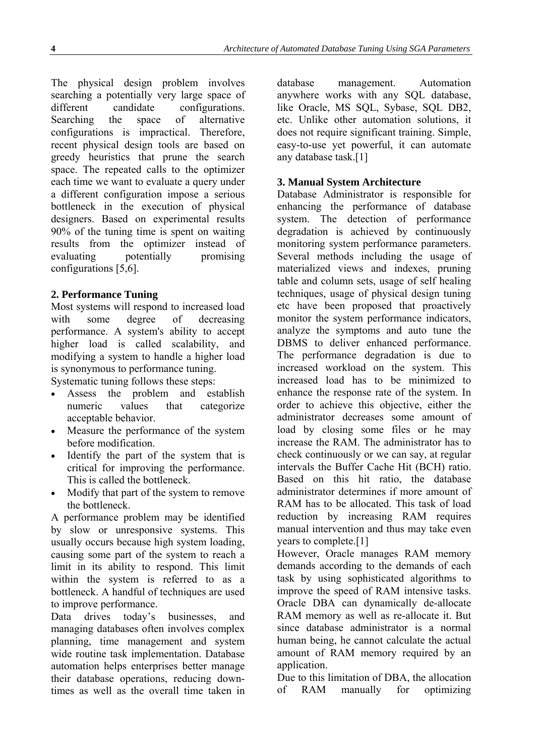The physical design problem involves searching a potentially very large space of different candidate configurations. Searching the space of alternative configurations is impractical. Therefore, recent physical design tools are based on greedy heuristics that prune the search space. The repeated calls to the optimizer each time we want to evaluate a query under a different configuration impose a serious bottleneck in the execution of physical designers. Based on experimental results 90% of the tuning time is spent on waiting results from the optimizer instead of evaluating potentially promising configurations [5,6].

## **2. Performance Tuning**

Most systems will respond to increased load with some degree of decreasing performance. A system's ability to accept higher load is called scalability, and modifying a system to handle a higher load is synonymous to performance tuning.

Systematic tuning follows these steps:

- Assess the problem and establish numeric values that categorize acceptable behavior.
- Measure the performance of the system before modification.
- Identify the part of the system that is critical for improving the performance. This is called the bottleneck.
- Modify that part of the system to remove the bottleneck.

A performance problem may be identified by slow or unresponsive systems. This usually occurs because high system loading, causing some part of the system to reach a limit in its ability to respond. This limit within the system is referred to as a bottleneck. A handful of techniques are used to improve performance.

Data drives today's businesses, and managing databases often involves complex planning, time management and system wide routine task implementation. Database automation helps enterprises better manage their database operations, reducing downtimes as well as the overall time taken in

database management. Automation anywhere works with any SQL database, like Oracle, MS SQL, Sybase, SQL DB2, etc. Unlike other automation solutions, it does not require significant training. Simple, easy-to-use yet powerful, it can automate any database task.[1]

## **3. Manual System Architecture**

Database Administrator is responsible for enhancing the performance of database system. The detection of performance degradation is achieved by continuously monitoring system performance parameters. Several methods including the usage of materialized views and indexes, pruning table and column sets, usage of self healing techniques, usage of physical design tuning etc have been proposed that proactively monitor the system performance indicators, analyze the symptoms and auto tune the DBMS to deliver enhanced performance. The performance degradation is due to increased workload on the system. This increased load has to be minimized to enhance the response rate of the system. In order to achieve this objective, either the administrator decreases some amount of load by closing some files or he may increase the RAM. The administrator has to check continuously or we can say, at regular intervals the Buffer Cache Hit (BCH) ratio. Based on this hit ratio, the database administrator determines if more amount of RAM has to be allocated. This task of load reduction by increasing RAM requires manual intervention and thus may take even years to complete.[1]

However, Oracle manages RAM memory demands according to the demands of each task by using sophisticated algorithms to improve the speed of RAM intensive tasks. Oracle DBA can dynamically de-allocate RAM memory as well as re-allocate it. But since database administrator is a normal human being, he cannot calculate the actual amount of RAM memory required by an application.

Due to this limitation of DBA, the allocation of RAM manually for optimizing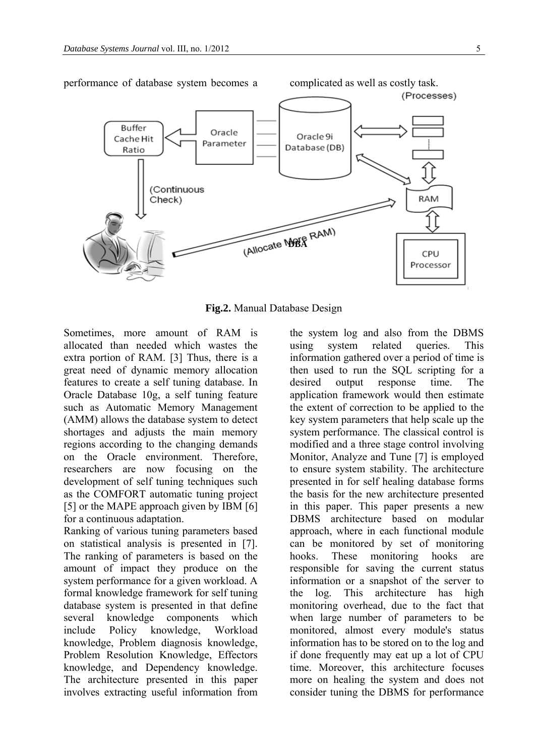

**Fig.2.** Manual Database Design

Sometimes, more amount of RAM is allocated than needed which wastes the extra portion of RAM. [3] Thus, there is a great need of dynamic memory allocation features to create a self tuning database. In Oracle Database 10g, a self tuning feature such as Automatic Memory Management (AMM) allows the database system to detect shortages and adjusts the main memory regions according to the changing demands on the Oracle environment. Therefore, researchers are now focusing on the development of self tuning techniques such as the COMFORT automatic tuning project [5] or the MAPE approach given by IBM [6] for a continuous adaptation.

Ranking of various tuning parameters based on statistical analysis is presented in [7]. The ranking of parameters is based on the amount of impact they produce on the system performance for a given workload. A formal knowledge framework for self tuning database system is presented in that define several knowledge components which include Policy knowledge, Workload knowledge, Problem diagnosis knowledge, Problem Resolution Knowledge, Effectors knowledge, and Dependency knowledge. The architecture presented in this paper involves extracting useful information from

the system log and also from the DBMS using system related queries. This information gathered over a period of time is then used to run the SQL scripting for a desired output response time. The application framework would then estimate the extent of correction to be applied to the key system parameters that help scale up the system performance. The classical control is modified and a three stage control involving Monitor, Analyze and Tune [7] is employed to ensure system stability. The architecture presented in for self healing database forms the basis for the new architecture presented in this paper. This paper presents a new DBMS architecture based on modular approach, where in each functional module can be monitored by set of monitoring hooks. These monitoring hooks are responsible for saving the current status information or a snapshot of the server to the log. This architecture has high monitoring overhead, due to the fact that when large number of parameters to be monitored, almost every module's status information has to be stored on to the log and if done frequently may eat up a lot of CPU time. Moreover, this architecture focuses more on healing the system and does not consider tuning the DBMS for performance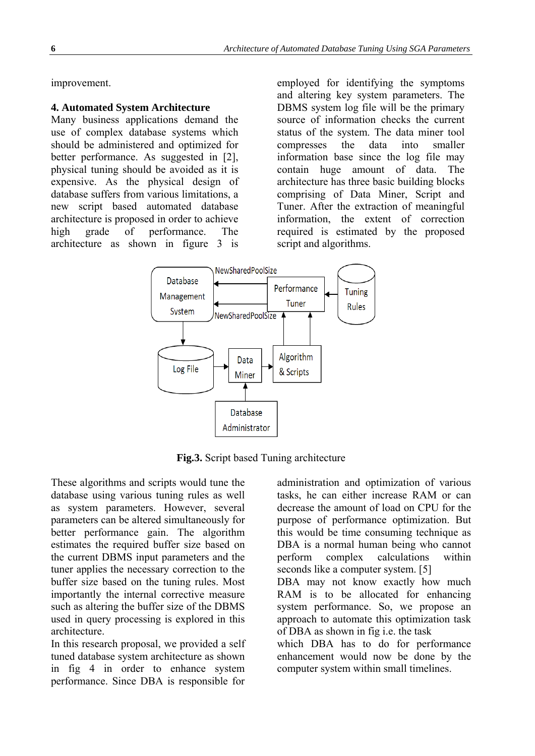improvement.

### **4. Automated System Architecture**

Many business applications demand the use of complex database systems which should be administered and optimized for better performance. As suggested in [2], physical tuning should be avoided as it is expensive. As the physical design of database suffers from various limitations, a new script based automated database architecture is proposed in order to achieve high grade of performance. The architecture as shown in figure 3 is

employed for identifying the symptoms and altering key system parameters. The DBMS system log file will be the primary source of information checks the current status of the system. The data miner tool compresses the data into smaller information base since the log file may contain huge amount of data. The architecture has three basic building blocks comprising of Data Miner, Script and Tuner. After the extraction of meaningful information, the extent of correction required is estimated by the proposed script and algorithms.



**Fig.3.** Script based Tuning architecture

These algorithms and scripts would tune the database using various tuning rules as well as system parameters. However, several parameters can be altered simultaneously for better performance gain. The algorithm estimates the required buffer size based on the current DBMS input parameters and the tuner applies the necessary correction to the buffer size based on the tuning rules. Most importantly the internal corrective measure such as altering the buffer size of the DBMS used in query processing is explored in this architecture.

In this research proposal, we provided a self tuned database system architecture as shown in fig 4 in order to enhance system performance. Since DBA is responsible for

administration and optimization of various tasks, he can either increase RAM or can decrease the amount of load on CPU for the purpose of performance optimization. But this would be time consuming technique as DBA is a normal human being who cannot perform complex calculations within seconds like a computer system. [5]

DBA may not know exactly how much RAM is to be allocated for enhancing system performance. So, we propose an approach to automate this optimization task of DBA as shown in fig i.e. the task

which DBA has to do for performance enhancement would now be done by the computer system within small timelines.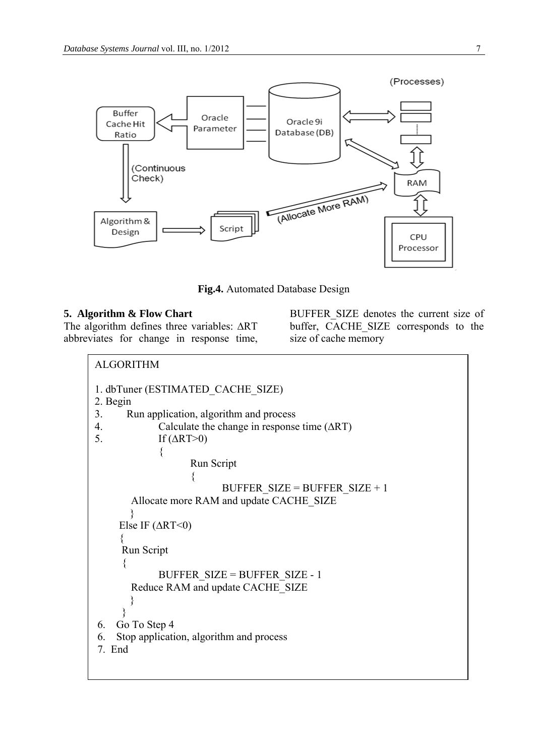

**Fig.4.** Automated Database Design

## **5. Algorithm & Flow Chart**

The algorithm defines three variables:  $\Delta RT$ abbreviates for change in response time,

BUFFER\_SIZE denotes the current size of buffer, CACHE SIZE corresponds to the size of cache memory

```
BUFFER SIZE = BUFFER SIZE + 1Allocate more RAM and update CACHE_SIZE
ALGORITHM 
1. dbTuner (ESTIMATED_CACHE_SIZE) 
2. Begin 
3. Run application, algorithm and process 
4. Calculate the change in response time (∆RT) 
5. If (\Delta RT>0)\{ Run Script 
\{ } 
     Else IF (∆RT<0) 
\left\{\begin{array}{c} \end{array}\right\} Run Script 
      { 
            BUFFER_SIZE = BUFFER_SIZE - 1 
       Reduce RAM and update CACHE_SIZE 
 } 
      } 
 6. Go To Step 4 
 6. Stop application, algorithm and process 
 7. End
```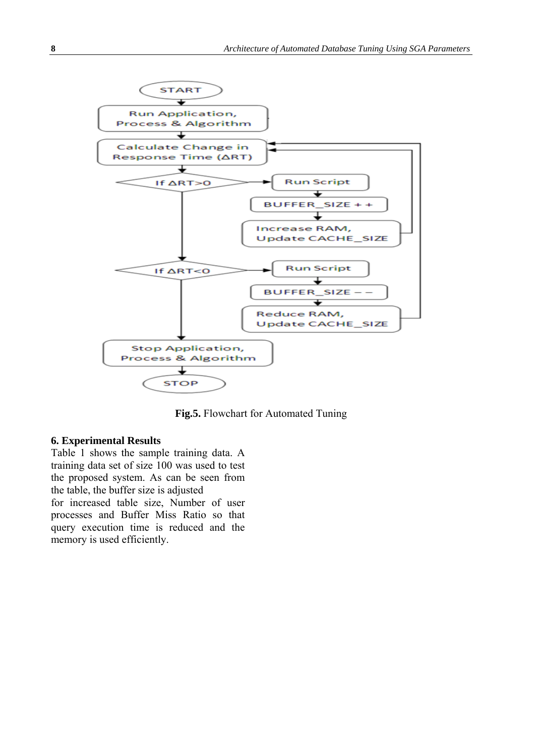

**Fig.5.** Flowchart for Automated Tuning

#### **6. Experimental Results**

Table 1 shows the sample training data. A training data set of size 100 was used to test the proposed system. As can be seen from the table, the buffer size is adjusted for increased table size, Number of user processes and Buffer Miss Ratio so that query execution time is reduced and the memory is used efficiently.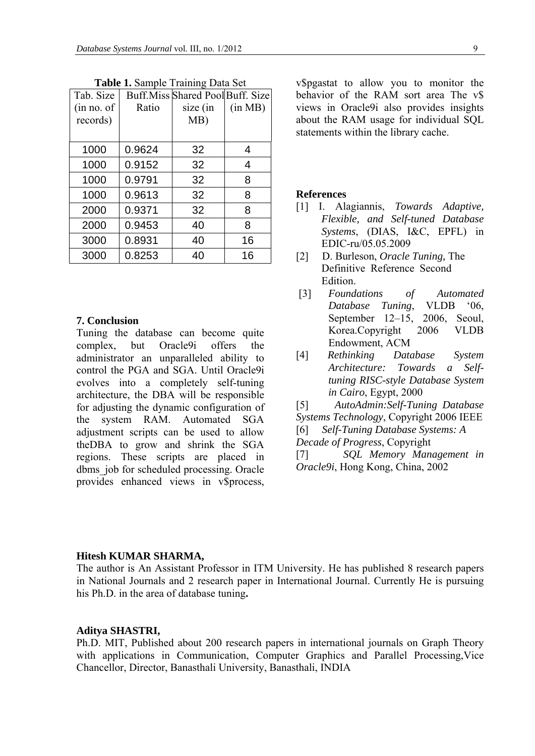| Tab. Size   |        | Buff. Miss Shared Pool Buff. Size |         |
|-------------|--------|-----------------------------------|---------|
| (in no. of) | Ratio  | size (in                          | (in MB) |
| records)    |        | MB)                               |         |
|             |        |                                   |         |
| 1000        | 0.9624 | 32                                | 4       |
| 1000        | 0.9152 | 32                                | 4       |
| 1000        | 0.9791 | 32                                | 8       |
| 1000        | 0.9613 | 32                                | 8       |
| 2000        | 0.9371 | 32                                | 8       |
| 2000        | 0.9453 | 40                                | 8       |
| 3000        | 0.8931 | 40                                | 16      |
| 3000        | 0.8253 | 40                                | 16      |

**Table 1.** Sample Training Data Set

#### **7. Conclusion**

Tuning the database can become quite complex, but Oracle9i offers the administrator an unparalleled ability to control the PGA and SGA. Until Oracle9i evolves into a completely self-tuning architecture, the DBA will be responsible for adjusting the dynamic configuration of the system RAM. Automated SGA adjustment scripts can be used to allow theDBA to grow and shrink the SGA regions. These scripts are placed in dbms job for scheduled processing. Oracle provides enhanced views in v\$process, v\$pgastat to allow you to monitor the behavior of the RAM sort area The v\$ views in Oracle9i also provides insights about the RAM usage for individual SQL statements within the library cache.

#### **References**

- [1] I. Alagiannis, *Towards Adaptive, Flexible, and Self-tuned Database Systems*, (DIAS, I&C, EPFL) in EDIC-ru/05.05.2009
- [2] D. Burleson, *Oracle Tuning,* The Definitive Reference Second Edition.
- [3] *Foundations of Automated Database Tuning*, VLDB '06, September 12–15, 2006, Seoul, Korea.Copyright 2006 VLDB Endowment, ACM
- [4] *Rethinking Database System Architecture: Towards a Selftuning RISC-style Database System in Cairo*, Egypt, 2000

[5] *AutoAdmin:Self-Tuning Database Systems Technology*, Copyright 2006 IEEE [6] *Self-Tuning Database Systems: A Decade of Progress*, Copyright

[7] *SQL Memory Management in Oracle9i*, Hong Kong, China, 2002

#### **Hitesh KUMAR SHARMA,**

The author is An Assistant Professor in ITM University. He has published 8 research papers in National Journals and 2 research paper in International Journal. Currently He is pursuing his Ph.D. in the area of database tuning**.** 

#### **Aditya SHASTRI,**

Ph.D. MIT, Published about 200 research papers in international journals on Graph Theory with applications in Communication, Computer Graphics and Parallel Processing,Vice Chancellor, Director, Banasthali University, Banasthali, INDIA